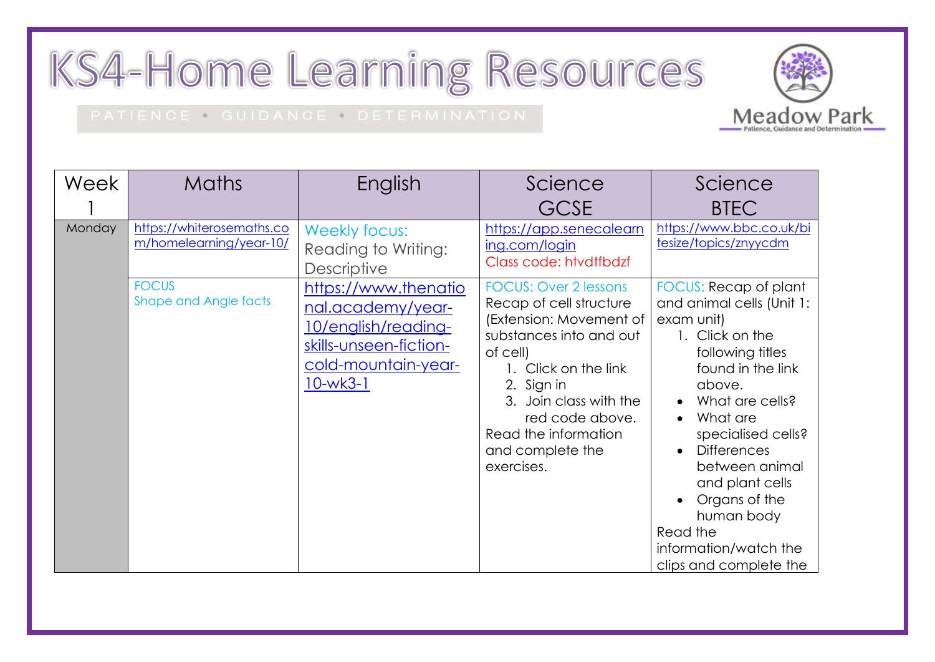## KS4-Home Learning Resources

## PATIENCE . GUIDANCE . DETERMINATION

Week 1 Maths | English | Science **GCSF** Science BTEC Monday [https://whiterosemaths.co](https://whiterosemaths.com/homelearning/year-10/) [m/homelearning/year-10/](https://whiterosemaths.com/homelearning/year-10/) Weekly focus: Reading to Writing: **Descriptive** [https://app.senecalearn](https://app.senecalearning.com/login) [ing.com/login](https://app.senecalearning.com/login) Class code: htvdtfbdzf [https://www.bbc.co.uk/bi](https://www.bbc.co.uk/bitesize/topics/znyycdm) [tesize/topics/znyycdm](https://www.bbc.co.uk/bitesize/topics/znyycdm) FOCUS Shape and Angle facts [https://www.thenatio](https://www.thenational.academy/year-10/english/reading-skills-unseen-fiction-cold-mountain-year-10-wk3-1) [nal.academy/year-](https://www.thenational.academy/year-10/english/reading-skills-unseen-fiction-cold-mountain-year-10-wk3-1)[10/english/reading](https://www.thenational.academy/year-10/english/reading-skills-unseen-fiction-cold-mountain-year-10-wk3-1)[skills-unseen-fiction](https://www.thenational.academy/year-10/english/reading-skills-unseen-fiction-cold-mountain-year-10-wk3-1)[cold-mountain-year-](https://www.thenational.academy/year-10/english/reading-skills-unseen-fiction-cold-mountain-year-10-wk3-1)[10-wk3-1](https://www.thenational.academy/year-10/english/reading-skills-unseen-fiction-cold-mountain-year-10-wk3-1) FOCUS: Over 2 lessons Recap of cell structure (Extension: Movement of substances into and out of cell) 1. Click on the link 2. Sign in 3. Join class with the red code above. Read the information and complete the exercises. FOCUS: Recap of plant and animal cells (Unit 1: exam unit) 1. Click on the following titles found in the link above. What are cells? • What are specialised cells? • Differences between animal and plant cells Organs of the human body Read the information/watch the clips and complete the

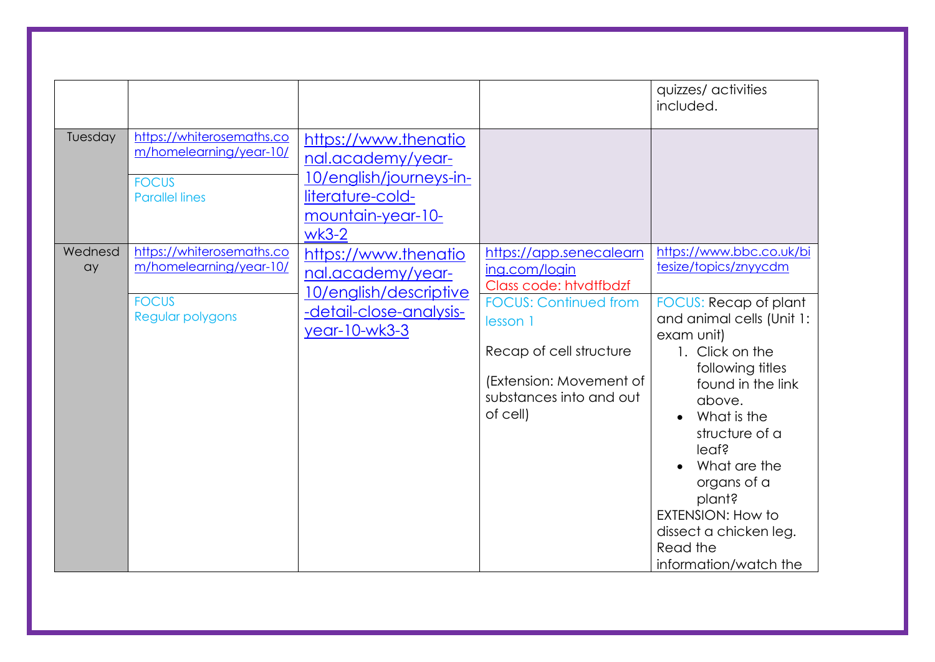|               |                                                                                               |                                                                                                                          |                                                                                                                                       | quizzes/ activities<br>included.                                                                                                                                                                                                                                                                                     |
|---------------|-----------------------------------------------------------------------------------------------|--------------------------------------------------------------------------------------------------------------------------|---------------------------------------------------------------------------------------------------------------------------------------|----------------------------------------------------------------------------------------------------------------------------------------------------------------------------------------------------------------------------------------------------------------------------------------------------------------------|
| Tuesday       | https://whiterosemaths.co<br>m/homelearning/year-10/<br><b>FOCUS</b><br><b>Parallel lines</b> | https://www.thenatio<br>nal.academy/year-<br>10/english/journeys-in-<br>literature-cold-<br>mountain-year-10-<br>$wk3-2$ |                                                                                                                                       |                                                                                                                                                                                                                                                                                                                      |
| Wednesd<br>ay | https://whiterosemaths.co<br>m/homelearning/year-10/                                          | https://www.thenatio<br>nal.academy/year-                                                                                | https://app.senecalearn<br>ing.com/login<br>Class code: htvdtfbdzf                                                                    | https://www.bbc.co.uk/bi<br>tesize/topics/znyycdm                                                                                                                                                                                                                                                                    |
|               | <b>FOCUS</b><br>Regular polygons                                                              | 10/english/descriptive<br>-detail-close-analysis-<br>year-10-wk3-3                                                       | <b>FOCUS: Continued from</b><br>lesson 1<br>Recap of cell structure<br>(Extension: Movement of<br>substances into and out<br>of cell) | FOCUS: Recap of plant<br>and animal cells (Unit 1:<br>exam unit)<br>1. Click on the<br>following titles<br>found in the link<br>above.<br>What is the<br>structure of a<br>leaf?<br>What are the<br>organs of a<br>plant?<br><b>EXTENSION: How to</b><br>dissect a chicken leg.<br>Read the<br>information/watch the |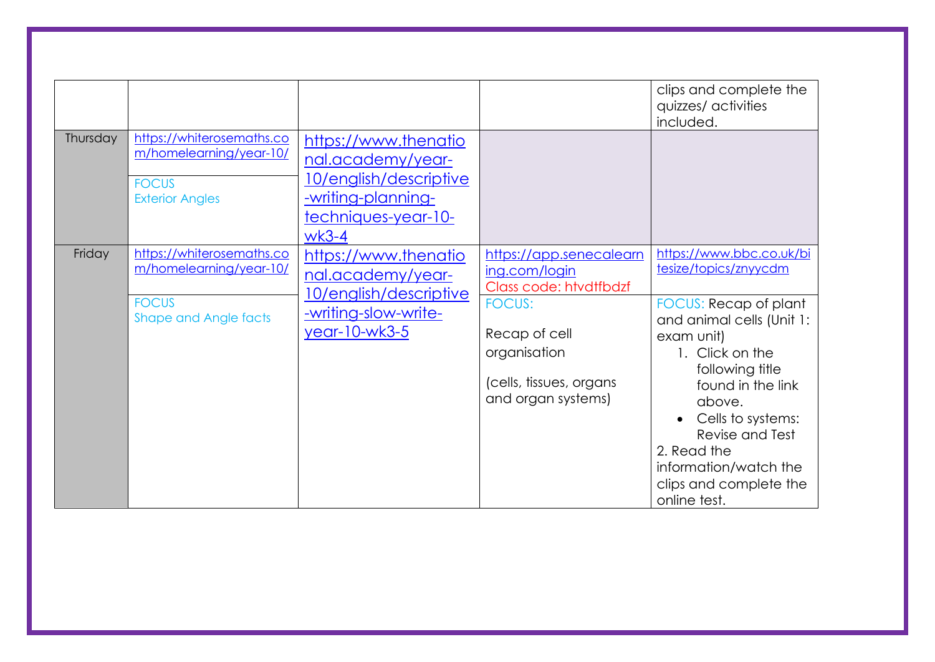| Thursday | https://whiterosemaths.co<br>m/homelearning/year-10/<br><b>FOCUS</b><br><b>Exterior Angles</b>       | https://www.thenatio<br>nal.academy/year-<br>10/english/descriptive<br><u>-writing-planning-</u><br>techniques-year-10-<br>$wk3-4$ |                                                                                                                                                                       | clips and complete the<br>quizzes/ activities<br>included.                                                                                                                                                                                                                                                           |
|----------|------------------------------------------------------------------------------------------------------|------------------------------------------------------------------------------------------------------------------------------------|-----------------------------------------------------------------------------------------------------------------------------------------------------------------------|----------------------------------------------------------------------------------------------------------------------------------------------------------------------------------------------------------------------------------------------------------------------------------------------------------------------|
| Friday   | https://whiterosemaths.co<br>m/homelearning/year-10/<br><b>FOCUS</b><br><b>Shape and Angle facts</b> | https://www.thenatio<br>nal.academy/year-<br>10/english/descriptive<br><u>-writing-slow-write-</u><br>year-10-wk3-5                | https://app.senecalearn<br>ing.com/login<br>Class code: htvdtfbdzf<br><b>FOCUS:</b><br>Recap of cell<br>organisation<br>(cells, tissues, organs<br>and organ systems) | https://www.bbc.co.uk/bi<br>tesize/topics/znyycdm<br>FOCUS: Recap of plant<br>and animal cells (Unit 1:<br>exam unit)<br>1. Click on the<br>following title<br>found in the link<br>above.<br>Cells to systems:<br>Revise and Test<br>2. Read the<br>information/watch the<br>clips and complete the<br>online test. |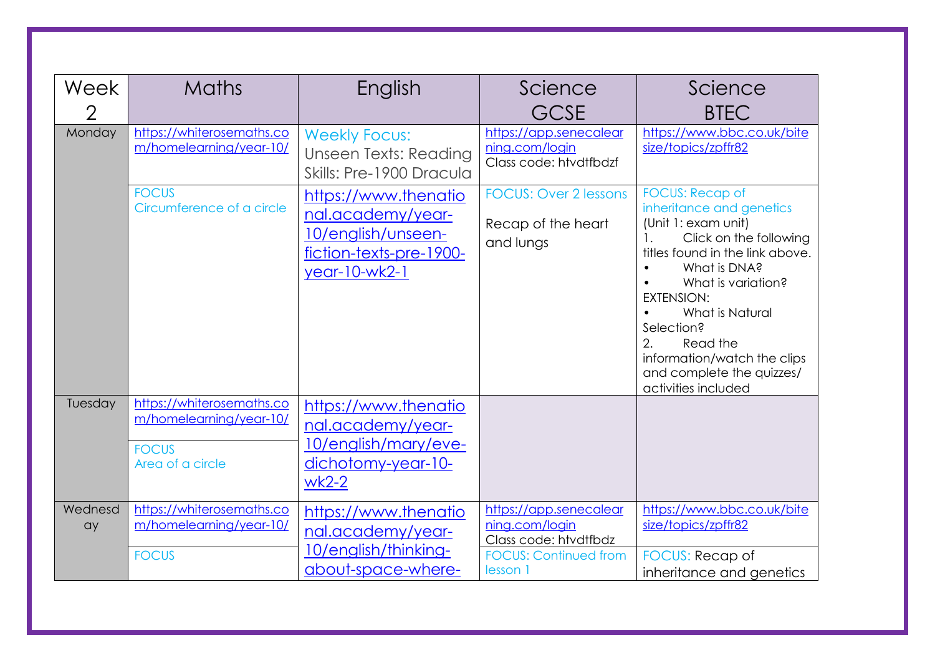| Week<br>$\overline{2}$ | <b>Maths</b>                                                                             | English                                                                                                     | Science<br><b>GCSE</b>                                                                                        | Science<br><b>BTEC</b>                                                                                                                                                                                                                                                                                                                                    |
|------------------------|------------------------------------------------------------------------------------------|-------------------------------------------------------------------------------------------------------------|---------------------------------------------------------------------------------------------------------------|-----------------------------------------------------------------------------------------------------------------------------------------------------------------------------------------------------------------------------------------------------------------------------------------------------------------------------------------------------------|
| Monday                 | https://whiterosemaths.co<br>m/homelearning/year-10/                                     | <b>Weekly Focus:</b><br><b>Unseen Texts: Reading</b><br>Skills: Pre-1900 Dracula                            | https://app.senecalear<br>ning.com/login<br>Class code: htvdtfbdzf                                            | https://www.bbc.co.uk/bite<br>size/topics/zpffr82                                                                                                                                                                                                                                                                                                         |
|                        | <b>FOCUS</b><br>Circumference of a circle                                                | https://www.thenatio<br>nal.academy/year-<br>10/english/unseen-<br>fiction-texts-pre-1900-<br>year-10-wk2-1 | <b>FOCUS: Over 2 lessons</b><br>Recap of the heart<br>and lungs                                               | <b>FOCUS: Recap of</b><br>inheritance and genetics<br>(Unit 1: exam unit)<br>$\mathbf{1}$ .<br>Click on the following<br>titles found in the link above.<br>What is DNA?<br>What is variation?<br><b>EXTENSION:</b><br>What is Natural<br>Selection?<br>2.<br>Read the<br>information/watch the clips<br>and complete the quizzes/<br>activities included |
| Tuesday                | https://whiterosemaths.co<br>m/homelearning/year-10/<br><b>FOCUS</b><br>Area of a circle | https://www.thenatio<br>nal.academy/year-<br>10/english/mary/eve-<br>dichotomy-year-10-<br>$wk2-2$          |                                                                                                               |                                                                                                                                                                                                                                                                                                                                                           |
| Wednesd<br>ay          | https://whiterosemaths.co<br>m/homelearning/year-10/<br><b>FOCUS</b>                     | https://www.thenatio<br>nal.academy/year-<br>10/english/thinking-<br>about-space-where-                     | https://app.senecalear<br>ning.com/login<br>Class code: htvdtfbdz<br><b>FOCUS: Continued from</b><br>lesson 1 | https://www.bbc.co.uk/bite<br>size/topics/zpffr82<br><b>FOCUS: Recap of</b><br>inheritance and genetics                                                                                                                                                                                                                                                   |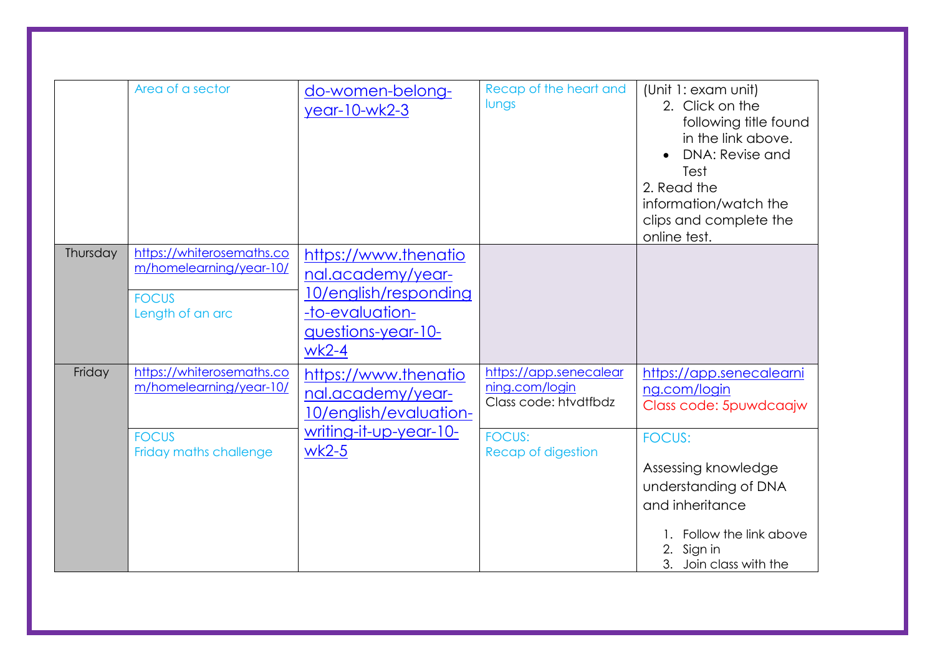| Thursday | Area of a sector<br>https://whiterosemaths.co                                                  | do-women-belong-<br>year-10-wk2-3                                                                                             | Recap of the heart and<br>lungs                                                                          | (Unit 1: exam unit)<br>2. Click on the<br>following title found<br>in the link above.<br>DNA: Revise and<br>Test<br>2. Read the<br>information/watch the<br>clips and complete the<br>online test.                     |
|----------|------------------------------------------------------------------------------------------------|-------------------------------------------------------------------------------------------------------------------------------|----------------------------------------------------------------------------------------------------------|------------------------------------------------------------------------------------------------------------------------------------------------------------------------------------------------------------------------|
|          | m/homelearning/year-10/<br><b>FOCUS</b><br>Length of an arc                                    | https://www.thenatio<br>nal.academy/year-<br>10/english/responding<br>-to-evaluation-<br><u>auestions-year-10-</u><br>$wk2-4$ |                                                                                                          |                                                                                                                                                                                                                        |
| Friday   | https://whiterosemaths.co<br>m/homelearning/year-10/<br><b>FOCUS</b><br>Friday maths challenge | https://www.thenatio<br>nal.academy/year-<br>10/english/evaluation-<br>writing-it-up-year-10-<br>$wk2-5$                      | https://app.senecalear<br>ning.com/login<br>Class code: htvdtfbdz<br><b>FOCUS:</b><br>Recap of digestion | https://app.senecalearni<br>ng.com/login<br>Class code: 5puwdcaajw<br><b>FOCUS:</b><br>Assessing knowledge<br>understanding of DNA<br>and inheritance<br>Follow the link above<br>2. Sign in<br>3. Join class with the |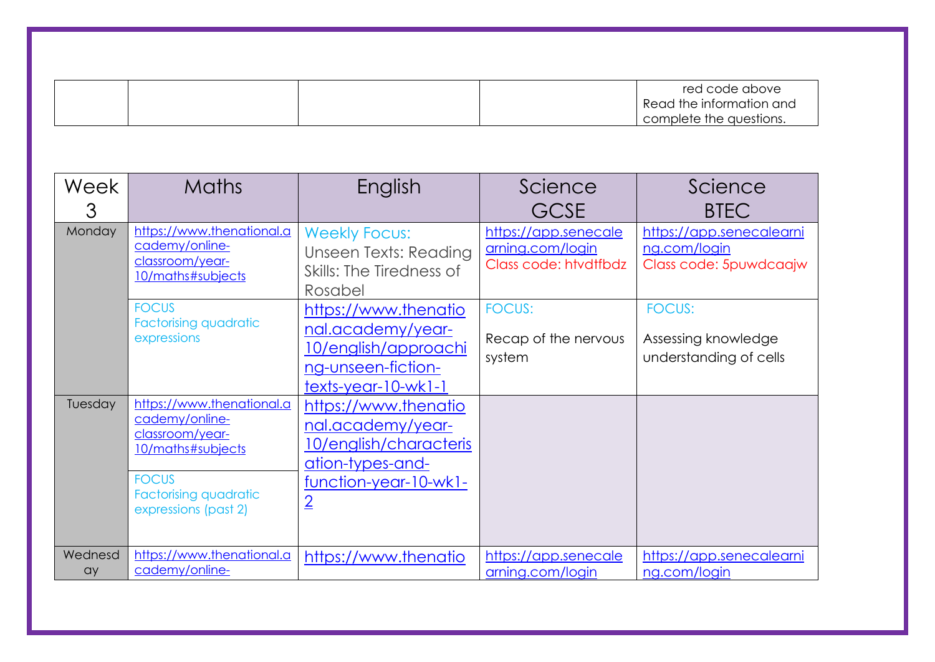|  |  | red code above           |
|--|--|--------------------------|
|  |  | Read the information and |
|  |  | complete the questions.  |

| Week<br>3     | <b>Maths</b>                                                                                                                                                | English                                                                                                                                   | Science<br><b>GCSE</b>                                            | Science<br><b>BTEC</b>                                             |
|---------------|-------------------------------------------------------------------------------------------------------------------------------------------------------------|-------------------------------------------------------------------------------------------------------------------------------------------|-------------------------------------------------------------------|--------------------------------------------------------------------|
| <b>Monday</b> | https://www.thenational.a<br>cademy/online-<br>classroom/year-<br>10/maths#subjects                                                                         | <b>Weekly Focus:</b><br><b>Unseen Texts: Reading</b><br>Skills: The Tiredness of<br>Rosabel                                               | https://app.senecale<br>arning.com/login<br>Class code: htvdtfbdz | https://app.senecalearni<br>ng.com/login<br>Class code: 5puwdcaajw |
|               | <b>FOCUS</b><br><b>Factorising quadratic</b><br>expressions                                                                                                 | https://www.thenatio<br>nal.academy/year-<br>10/english/approachi<br>ng-unseen-fiction-<br>$text$ -year-10-wk1-1                          | <b>FOCUS:</b><br>Recap of the nervous<br>system                   | <b>FOCUS:</b><br>Assessing knowledge<br>understanding of cells     |
| Tuesday       | https://www.thenational.a<br>cademy/online-<br>classroom/year-<br>10/maths#subjects<br><b>FOCUS</b><br><b>Factorising quadratic</b><br>expressions (past 2) | https://www.thenatio<br>nal.academy/year-<br>10/english/characteris<br><u>ation-types-and-</u><br>function-year-10-wk1-<br>$\overline{2}$ |                                                                   |                                                                    |
| Wednesd<br>ay | https://www.thenational.a<br>cademy/online-                                                                                                                 | https://www.thenatio                                                                                                                      | https://app.senecale<br>arning.com/login                          | https://app.senecalearni<br>ng.com/login                           |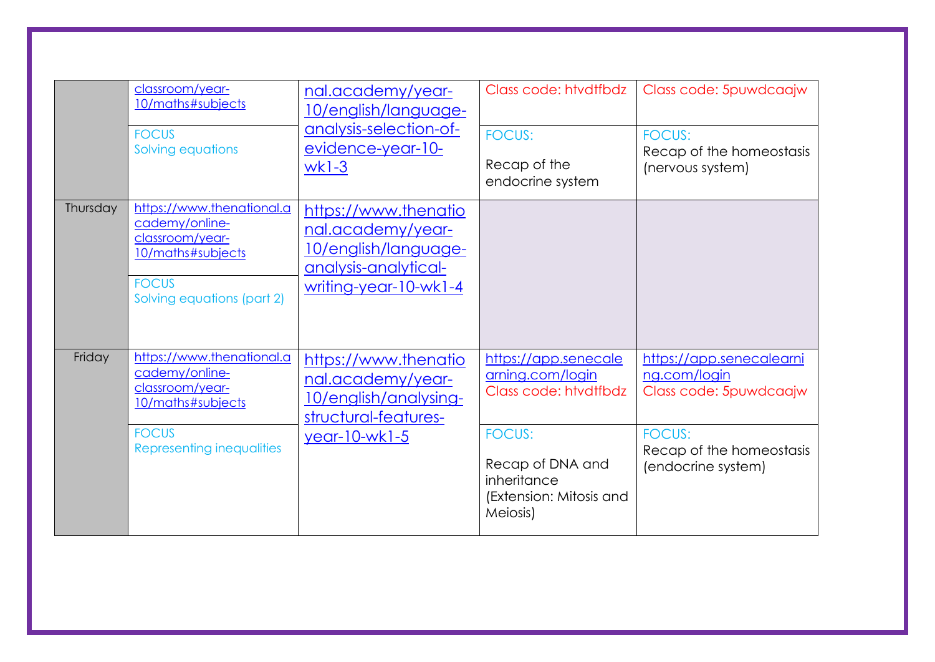|          | classroom/year-<br>10/maths#subjects<br><b>FOCUS</b><br>Solving equations                                                         | nal.academy/year-<br><u>10/english/language-</u><br>analysis-selection-of-<br>evidence-year-10-<br>$wk1-3$                | Class code: htvdtfbdz<br><b>FOCUS:</b><br>Recap of the<br>endocrine system                                                                                   | Class code: 5puwdcaajw<br><b>FOCUS:</b><br>Recap of the homeostasis<br>(nervous system)                                               |
|----------|-----------------------------------------------------------------------------------------------------------------------------------|---------------------------------------------------------------------------------------------------------------------------|--------------------------------------------------------------------------------------------------------------------------------------------------------------|---------------------------------------------------------------------------------------------------------------------------------------|
| Thursday | https://www.thenational.a<br>cademy/online-<br>classroom/year-<br>10/maths#subjects<br><b>FOCUS</b><br>Solving equations (part 2) | https://www.thenatio<br>nal.academy/year-<br>10/english/language-<br><u>analysis-analytical-</u><br>writing-year-10-wk1-4 |                                                                                                                                                              |                                                                                                                                       |
| Friday   | https://www.thenational.a<br>cademy/online-<br>classroom/year-<br>10/maths#subjects<br><b>FOCUS</b><br>Representing inequalities  | https://www.thenatio<br>nal.academy/year-<br>10/english/analysing-<br>structural-features-<br>year-10-wk1-5               | https://app.senecale<br>arning.com/login<br>Class code: htvdtfbdz<br><b>FOCUS:</b><br>Recap of DNA and<br>inheritance<br>(Extension: Mitosis and<br>Meiosis) | https://app.senecalearni<br>ng.com/login<br>Class code: 5puwdcaajw<br><b>FOCUS:</b><br>Recap of the homeostasis<br>(endocrine system) |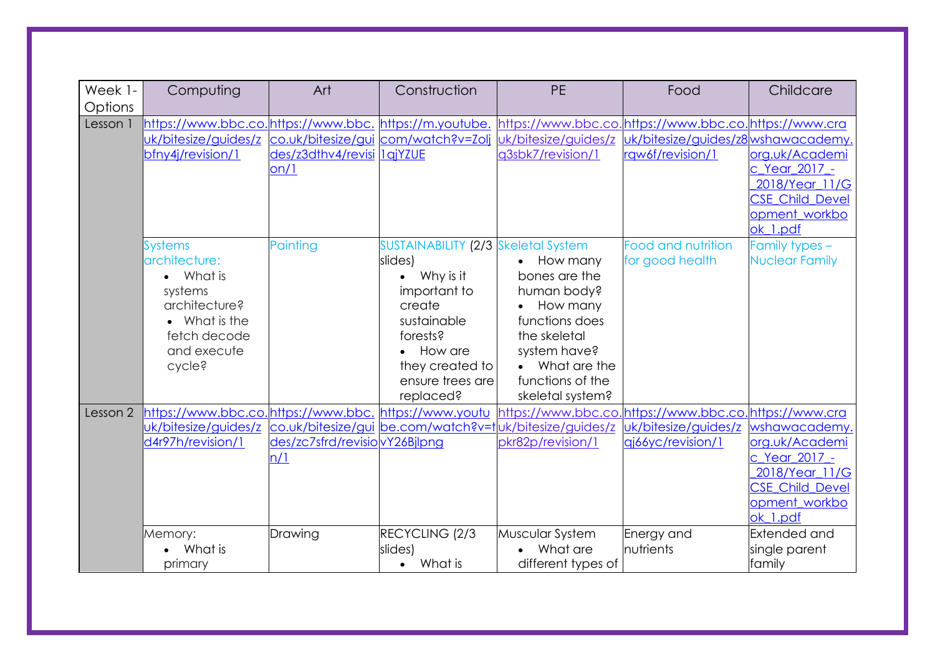| Week 1-<br>Options | Computing                                              | Art                           | Construction                        | <b>PE</b>                                                | Food                                | Childcare              |
|--------------------|--------------------------------------------------------|-------------------------------|-------------------------------------|----------------------------------------------------------|-------------------------------------|------------------------|
| Lesson 1           | https://www.bbc.co.https://www.bbc. https://m.youtube. |                               |                                     | https://www.bbc.co.https://www.bbc.co.https://www.cra    |                                     |                        |
|                    | uk/bitesize/guides/z                                   |                               | co.uk/bitesize/gui com/watch?v=Zolj | uk/bitesize/guides/z                                     | uk/bitesize/guides/z8 wshawacademy  |                        |
|                    | bfny4j/revision/1                                      | des/z3dthv4/revisi lajYZUE    |                                     | q3sbk7/revision/1                                        | rqw6f/revision/1                    | org.uk/Academi         |
|                    |                                                        | on/1                          |                                     |                                                          |                                     | c_Year_2017_-          |
|                    |                                                        |                               |                                     |                                                          |                                     | 2018/Year_11/G         |
|                    |                                                        |                               |                                     |                                                          |                                     | <b>CSE Child Devel</b> |
|                    |                                                        |                               |                                     |                                                          |                                     | opment_workbo          |
|                    |                                                        |                               |                                     |                                                          |                                     | ok_1.pdf               |
|                    | <b>Systems</b>                                         | <sup>2</sup> ainting          | SUSTAINABILITY (2/3 Skeletal System |                                                          | Food and nutrition                  | Family types -         |
|                    | architecture:                                          |                               | slides)                             | How many                                                 | for good health                     | <b>Nuclear Family</b>  |
|                    | • What is                                              |                               | $\bullet$ Why is it                 | bones are the                                            |                                     |                        |
|                    | systems                                                |                               | important to                        | human body?                                              |                                     |                        |
|                    | architecture?                                          |                               | create                              | How many                                                 |                                     |                        |
|                    | • What is the                                          |                               | sustainable                         | functions does                                           |                                     |                        |
|                    | fetch decode                                           |                               | forests?                            | the skeletal                                             |                                     |                        |
|                    | and execute                                            |                               | How are                             | system have?                                             |                                     |                        |
|                    | cycle?                                                 |                               | they created to                     | • What are the                                           |                                     |                        |
|                    |                                                        |                               | ensure trees are                    | functions of the                                         |                                     |                        |
|                    |                                                        |                               | replaced?                           | skeletal system?                                         |                                     |                        |
| Lesson 2           | https://www.bbc.co.https://www.bbc. https://www.youtu  |                               |                                     | https://www.bbc.co.                                      | .https://www.bbc.co.https://www.cra |                        |
|                    | uk/bitesize/guides/z                                   |                               |                                     | co.uk/bitesize/gui be.com/watch?v=tluk/bitesize/guides/z | uk/bitesize/guides/z                | wshawacademy           |
|                    | d4r97h/revision/1                                      | des/zc7sfrd/revisiovY26Bjlpng |                                     | pkr82p/revision/1                                        | qj66yc/revision/1                   | org.uk/Academi         |
|                    |                                                        | n/1                           |                                     |                                                          |                                     | c Year 2017 -          |
|                    |                                                        |                               |                                     |                                                          |                                     | 2018/Year 11/G         |
|                    |                                                        |                               |                                     |                                                          |                                     | <b>CSE Child Devel</b> |
|                    |                                                        |                               |                                     |                                                          |                                     | opment workbo          |
|                    |                                                        |                               |                                     |                                                          |                                     | ok 1.pdf               |
|                    | Memory:                                                | Drawing                       | RECYCLING (2/3                      | Muscular System                                          | Energy and                          | <b>Extended and</b>    |
|                    | What is                                                |                               | slides)                             | What are                                                 | nutrients                           | single parent          |
|                    | primary                                                |                               | What is<br>$\bullet$                | different types of                                       |                                     | family                 |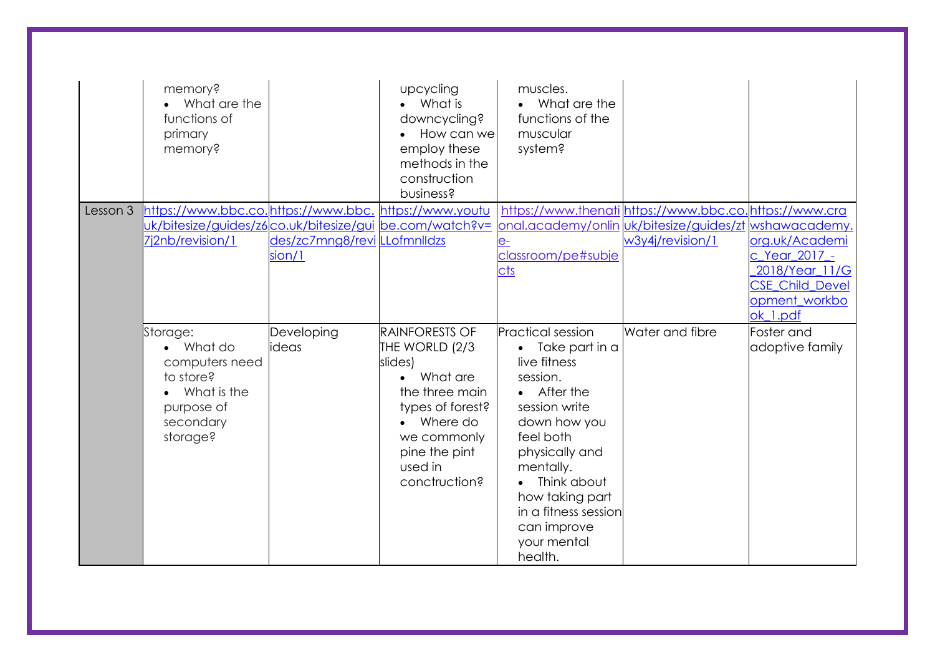|          | memory?<br>• What are the<br>functions of<br>primary<br>memory? |                              | upcycling<br>What is<br>downcycling?<br>How can we<br>employ these<br>methods in the<br>construction<br>business? | muscles.<br>What are the<br>functions of the<br>muscular<br>system? |                                                        |                        |
|----------|-----------------------------------------------------------------|------------------------------|-------------------------------------------------------------------------------------------------------------------|---------------------------------------------------------------------|--------------------------------------------------------|------------------------|
| Lesson 3 | https://www.bbc.co.https://www.bbc.https://www.youtu            |                              |                                                                                                                   |                                                                     | https://www.thenati https://www.bbc.co.https://www.cra |                        |
|          | uk/bitesize/guides/z6co.uk/bitesize/gui be.com/watch?v=         |                              |                                                                                                                   |                                                                     | onal.academy/onlin uk/bitesize/guides/zt wshawacademy. |                        |
|          | 7j2nb/revision/1                                                | des/zc7mng8/revi LLofmnlldzs |                                                                                                                   |                                                                     | w3y4j/revision/1                                       | org.uk/Academi         |
|          |                                                                 | sion/1                       |                                                                                                                   | classroom/pe#subje                                                  |                                                        | c Year 2017 -          |
|          |                                                                 |                              |                                                                                                                   | <u>cts</u>                                                          |                                                        | 2018/Year 11/G         |
|          |                                                                 |                              |                                                                                                                   |                                                                     |                                                        | <b>CSE Child Devel</b> |
|          |                                                                 |                              |                                                                                                                   |                                                                     |                                                        | opment workbo          |
|          |                                                                 |                              |                                                                                                                   |                                                                     |                                                        | ok 1.pdf               |
|          | Storage:                                                        | Developing                   | RAINFORESTS OF                                                                                                    | <b>Practical session</b>                                            | Water and fibre                                        | Foster and             |
|          | • What do                                                       | ideas                        | THE WORLD (2/3                                                                                                    | $\bullet$ Take part in a                                            |                                                        | adoptive family        |
|          | computers need                                                  |                              | slides)                                                                                                           | live fitness                                                        |                                                        |                        |
|          | to store?                                                       |                              | What are                                                                                                          | session.                                                            |                                                        |                        |
|          | • What is the                                                   |                              | the three main                                                                                                    | • After the                                                         |                                                        |                        |
|          | purpose of                                                      |                              | types of forest?                                                                                                  | session write                                                       |                                                        |                        |
|          | secondary<br>storage?                                           |                              | Where do                                                                                                          | down how you<br>feel both                                           |                                                        |                        |
|          |                                                                 |                              | we commonly<br>pine the pint                                                                                      | physically and                                                      |                                                        |                        |
|          |                                                                 |                              | used in                                                                                                           | mentally.                                                           |                                                        |                        |
|          |                                                                 |                              | conctruction?                                                                                                     | Think about                                                         |                                                        |                        |
|          |                                                                 |                              |                                                                                                                   | how taking part                                                     |                                                        |                        |
|          |                                                                 |                              |                                                                                                                   | in a fitness session                                                |                                                        |                        |
|          |                                                                 |                              |                                                                                                                   | can improve                                                         |                                                        |                        |
|          |                                                                 |                              |                                                                                                                   | your mental                                                         |                                                        |                        |
|          |                                                                 |                              |                                                                                                                   | health.                                                             |                                                        |                        |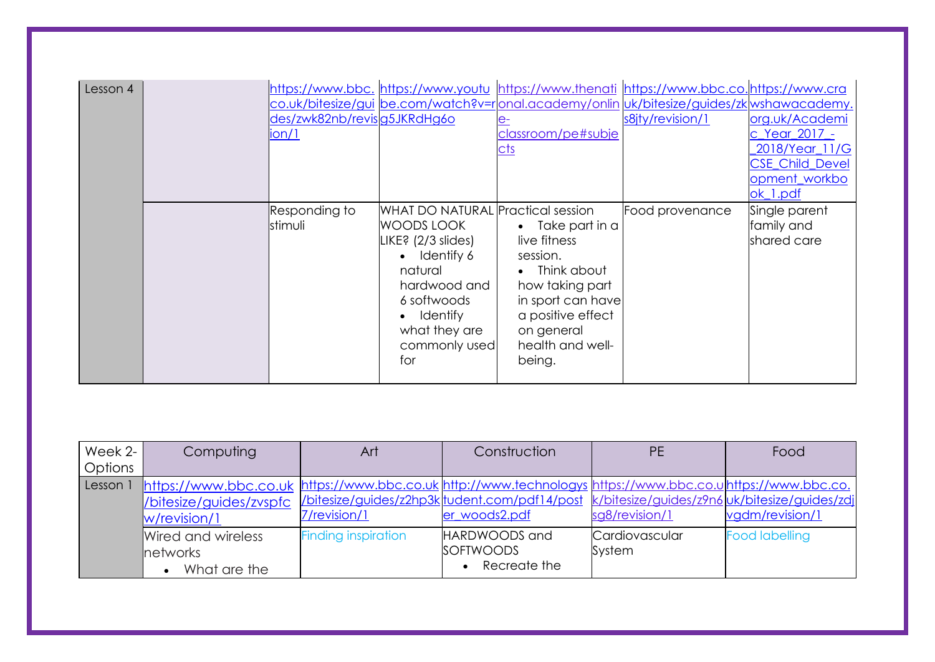| Lesson 4 | des/zwk82nb/revisg5JKRdHg6o<br>ion/1 |                                                                                                                                                                                                 | classroom/pe#subje<br><u>cts</u>                                                                                                                                                | https://www.bbc. https://www.youtu https://www.thenati https://www.bbc.co.https://www.cra<br>co.uk/bitesize/gui be.com/watch?v=ronal.academy/onlin uk/bitesize/guides/zkwshawacademy.<br>s8jty/revision/1 | org.uk/Academi<br>c Year 2017 -<br>2018/Year_11/G<br><b>CSE Child Devel</b><br>opment_workbo<br>ok 1.pdf |
|----------|--------------------------------------|-------------------------------------------------------------------------------------------------------------------------------------------------------------------------------------------------|---------------------------------------------------------------------------------------------------------------------------------------------------------------------------------|-----------------------------------------------------------------------------------------------------------------------------------------------------------------------------------------------------------|----------------------------------------------------------------------------------------------------------|
|          | Responding to<br>stimuli             | WHAT DO NATURAL Practical session<br>WOODS LOOK<br>LIKE? (2/3 slides)<br>Identify 6<br>$\bullet$<br>natural<br>hardwood and<br>6 softwoods<br>Identify<br>what they are<br>commonly used<br>for | Take part in a<br>$\bullet$<br>live fitness<br>session.<br>Think about<br>how taking part<br>in sport can have<br>a positive effect<br>on general<br>health and well-<br>being. | Food provenance                                                                                                                                                                                           | Single parent<br>family and<br>shared care                                                               |

| Week 2-<br>Options | Computing                                                                                                                                                | Art                        | Construction                                                                                                 | <b>PE</b>                | Food                  |
|--------------------|----------------------------------------------------------------------------------------------------------------------------------------------------------|----------------------------|--------------------------------------------------------------------------------------------------------------|--------------------------|-----------------------|
| Lesson             | https://www.bbc.co.uk https://www.bbc.co.uk http://www.technologys https://www.bbc.co.uhttps://www.bbc.co.<br>/bitesize/guides/zvspfc<br>$w$ /revision/1 | 7/revision/1               | /bitesize/guides/z2hp3k tudent.com/pdf14/post k/bitesize/guides/z9n6 uk/bitesize/guides/zdj<br>er_woods2.pdf | sg8/revision/1           | vgdm/revision/1       |
|                    | Wired and wireless<br><b>Inetworks</b><br>What are the                                                                                                   | <b>Finding inspiration</b> | HARDWOODS and<br><b>SOFTWOODS</b><br>Recreate the                                                            | Cardiovascular<br>System | <b>Food labelling</b> |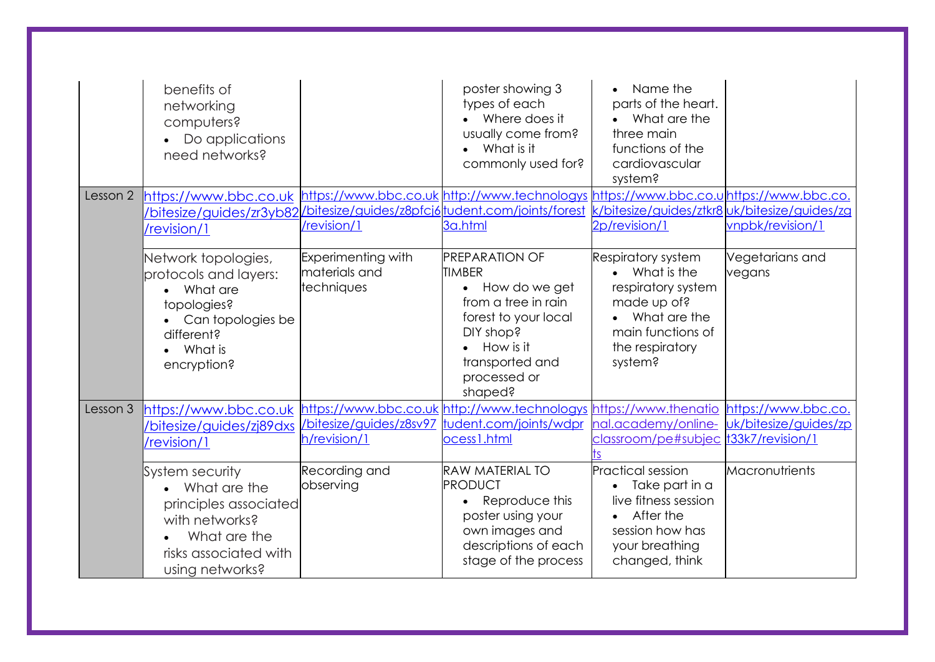|          | benefits of<br>networking<br>computers?<br>Do applications<br>need networks?                                                             |                                                          | poster showing 3<br>types of each<br>Where does it<br>usually come from?<br>What is it<br>commonly used for?                                                                     | Name the<br>parts of the heart.<br>What are the<br>three main<br>functions of the<br>cardiovascular<br>system?                                     |                                              |
|----------|------------------------------------------------------------------------------------------------------------------------------------------|----------------------------------------------------------|----------------------------------------------------------------------------------------------------------------------------------------------------------------------------------|----------------------------------------------------------------------------------------------------------------------------------------------------|----------------------------------------------|
| Lesson 2 | https://www.bbc.co.uk<br>/bitesize/guides/zr3yb82<br>/revision/1                                                                         | /revision/1                                              | https://www.bbc.co.uk http://www.technologys https://www.bbc.co.u https://www.bbc.co.<br>/bitesize/guides/z8pfcj6 tudent.com/joints/forest<br>3a.html                            | k/bitesize/guides/ztkr8 uk/bitesize/guides/zg<br>2p/revision/1                                                                                     | vnpbk/revision/1                             |
|          | Network topologies,<br>protocols and layers:<br>What are<br>topologies?<br>Can topologies be<br>different?<br>What is<br>encryption?     | <b>Experimenting with</b><br>materials and<br>techniques | <b>PREPARATION OF</b><br><b>TIMBER</b><br>• How do we get<br>from a tree in rain<br>forest to your local<br>DIY shop?<br>How is it<br>transported and<br>processed or<br>shaped? | <b>Respiratory system</b><br>• What is the<br>respiratory system<br>made up of?<br>What are the<br>main functions of<br>the respiratory<br>system? | Vegetarians and<br>vegans                    |
| Lesson 3 | https://www.bbc.co.uk<br>/bitesize/guides/zj89dxs<br>/revision/1                                                                         | /bitesize/guides/z8sv97<br>h/revision/1                  | https://www.bbc.co.uk http://www.technologys https://www.thenatio<br>tudent.com/joints/wdpr<br>ocess1.html                                                                       | nal.academy/online-<br>classroom/pe#subjec t33k7/revision/1                                                                                        | https://www.bbc.co.<br>uk/bitesize/guides/zp |
|          | System security<br>• What are the<br>principles associated<br>with networks?<br>What are the<br>risks associated with<br>using networks? | Recording and<br>observing                               | <b>RAW MATERIAL TO</b><br>PRODUCT<br>Reproduce this<br>poster using your<br>own images and<br>descriptions of each<br>stage of the process                                       | <b>Practical session</b><br>Take part in a<br>live fitness session<br>After the<br>session how has<br>your breathing<br>changed, think             | Macronutrients                               |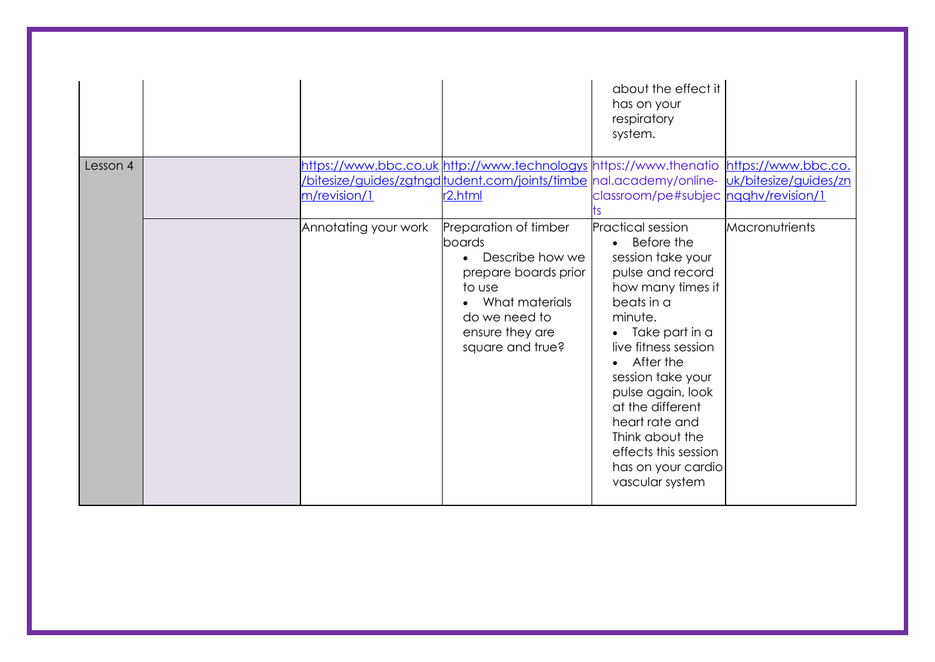|          |                                      |                                                                                                                                                                                                                                                                                                                                                                                           | about the effect it<br>has on your<br>respiratory<br>system.                                                                                                                                                                                                                                                                                                                                       |                |
|----------|--------------------------------------|-------------------------------------------------------------------------------------------------------------------------------------------------------------------------------------------------------------------------------------------------------------------------------------------------------------------------------------------------------------------------------------------|----------------------------------------------------------------------------------------------------------------------------------------------------------------------------------------------------------------------------------------------------------------------------------------------------------------------------------------------------------------------------------------------------|----------------|
| Lesson 4 | m/revision/1<br>Annotating your work | https://www.bbc.co.uk http://www.technologys https://www.thenatio https://www.bbc.co.<br>bitesize/guides/zgtngd tudent.com/joints/timbe  nal.academy/online-  uk/bitesize/guides/zn<br>r <sub>2.html</sub><br>Preparation of timber<br>boards<br>Describe how we<br>$\bullet$<br>prepare boards prior<br>to use<br>What materials<br>do we need to<br>ensure they are<br>square and true? | classroom/pe#subjec ngahv/revision/1<br><b>Practical session</b><br>• Before the<br>session take your<br>pulse and record<br>how many times it<br>beats in a<br>minute.<br>Take part in a<br>live fitness session<br>After the<br>session take your<br>pulse again, look<br>at the different<br>heart rate and<br>Think about the<br>effects this session<br>has on your cardio<br>vascular system | Macronutrients |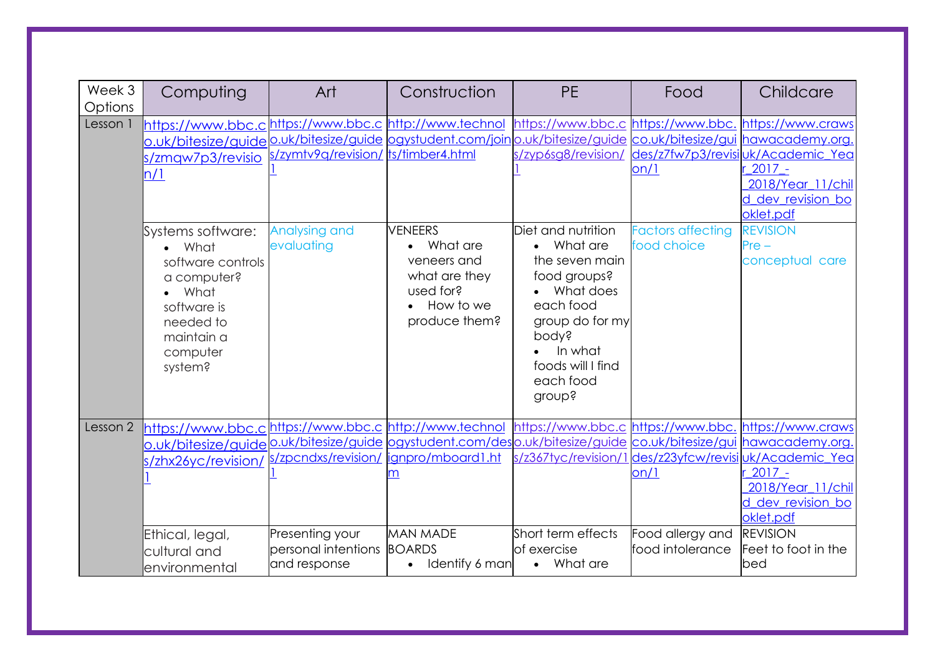| Week 3<br>Options | Computing                                                                                                                                | Art                                                    | Construction                                                                                                                                                                                                                              | <b>PE</b>                                                                                                                                                                       | Food                                         | Childcare                                                                                                                                                                     |
|-------------------|------------------------------------------------------------------------------------------------------------------------------------------|--------------------------------------------------------|-------------------------------------------------------------------------------------------------------------------------------------------------------------------------------------------------------------------------------------------|---------------------------------------------------------------------------------------------------------------------------------------------------------------------------------|----------------------------------------------|-------------------------------------------------------------------------------------------------------------------------------------------------------------------------------|
| Lesson 1          | https://www.bbc.c <sup>lhttps://www.bbc.clhttp://www.technol</sup><br>o.uk/bitesize/guide<br>s/zmgw7p3/revisio<br>n/1                    | s/zymtv9q/revision/ ts/timber4.html                    | o.uk/bitesize/guide logystudent.com/joinlo.uk/bitesize/guide co.uk/bitesize/gui hawacademy.org                                                                                                                                            | https://www.bbc.c https://www.bbc. https://www.craws<br>s/zyp6sg8/revision/                                                                                                     | on/1                                         | des/z7fw7p3/revisiuk/Academic_Yea<br>$2017 -$<br>2018/Year_11/chil<br>dev revision bo<br>oklet.pdf                                                                            |
|                   | Systems software:<br>• What<br>software controls<br>a computer?<br>What<br>software is<br>needed to<br>maintain a<br>computer<br>system? | Analysing and<br>evaluating                            | <b>VENEERS</b><br>What are<br>veneers and<br>what are they<br>used for?<br>How to we<br>produce them?                                                                                                                                     | Diet and nutrition<br>What are<br>the seven main<br>food groups?<br>• What does<br>each food<br>group do for my<br>pody?<br>In what<br>foods will I find<br>each food<br>group? | <b>Factors affecting</b><br>food choice      | <b>REVISION</b><br>$Pre -$<br>conceptual care                                                                                                                                 |
| Lesson 2          | https://www.bbc.clhttps://www.bbc.clhttp://www.technol<br>s/zhx26yc/revision/<br>Ethical, legal,<br>cultural and<br>environmental        | Presenting your<br>personal intentions<br>and response | <u>o.uk/bitesize/guide 0.uk/bitesize/guide  ogystudent.com/des o.uk/bitesize/guide  co.uk/bitesize/gui  hawacademy.org.</u><br>s/zpcndxs/revision/   ignpro/mboard1.ht<br><b>MAN MADE</b><br><b>BOARDS</b><br>Identify 6 man<br>$\bullet$ | https://www.bbc.c https://www.bbc.<br>s/z367tyc/revision/1<br>Short term effects<br>of exercise<br>• What are                                                                   | on/1<br>Food allergy and<br>food intolerance | https://www.craws<br>I des/z23yfcw/revisi uk/Academic_Yea<br>$2017 -$<br>2018/Year 11/chil<br>d dev revision bo<br>oklet.pdf<br><b>REVISION</b><br>Feet to foot in the<br>bed |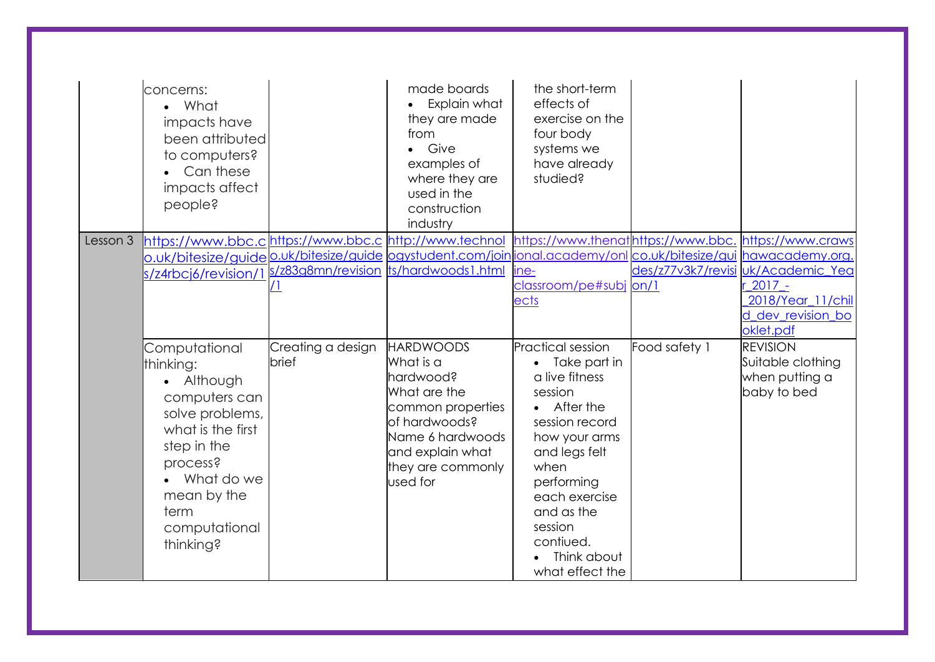|          | concerns:<br>• What<br>impacts have<br>been attributed<br>to computers?<br>Can these<br>impacts affect<br>beople?                                                                                 |                            | made boards<br>Explain what<br>they are made<br>from<br>Give<br>examples of<br>where they are<br>used in the<br>construction<br>industry                                  | the short-term<br>effects of<br>exercise on the<br>four body<br>systems we<br>have already<br>studied?                                                                                                                                                  |                    |                                                                                    |
|----------|---------------------------------------------------------------------------------------------------------------------------------------------------------------------------------------------------|----------------------------|---------------------------------------------------------------------------------------------------------------------------------------------------------------------------|---------------------------------------------------------------------------------------------------------------------------------------------------------------------------------------------------------------------------------------------------------|--------------------|------------------------------------------------------------------------------------|
| Lesson 3 | https://www.bbc.clhttps://www.bbc.clhttp://www.technol<br>s/z4rbcj6/revision/1                                                                                                                    | <u>/  </u>                 | <u>o.uk/bitesize/guide 0.uk/bitesize/guide  ogystudent.com/join ional.academy/onl co.uk/bitesize/gui  hawacademy.org.</u><br>s/z83g8mn/revision  ts/hardwoods1.html       | https://www.thenathttps://www.bbc. https://www.craws<br>ine-<br>classroom/pe#subj on/1<br>ects                                                                                                                                                          | des/z77v3k7/revisi | uk/Academic Yea<br>$2017 -$<br>2018/Year 11/chil<br>d dev revision bo<br>oklet.pdf |
|          | Computational<br>thinking:<br>• Although<br>computers can<br>solve problems,<br>what is the first<br>step in the<br>process?<br>• What do we<br>mean by the<br>term<br>computational<br>thinking? | Creating a design<br>brief | <b>HARDWOODS</b><br>What is a<br>hardwood?<br>What are the<br>common properties<br>of hardwoods?<br>Name 6 hardwoods<br>and explain what<br>they are commonly<br>used for | <b>Practical session</b><br>Take part in<br>a live fitness<br>session<br>• After the<br>session record<br>how your arms<br>and legs felt<br>when<br>performing<br>each exercise<br>and as the<br>session<br>contiued.<br>Think about<br>what effect the | Food safety 1      | <b>REVISION</b><br>Suitable clothing<br>when putting a<br>baby to bed              |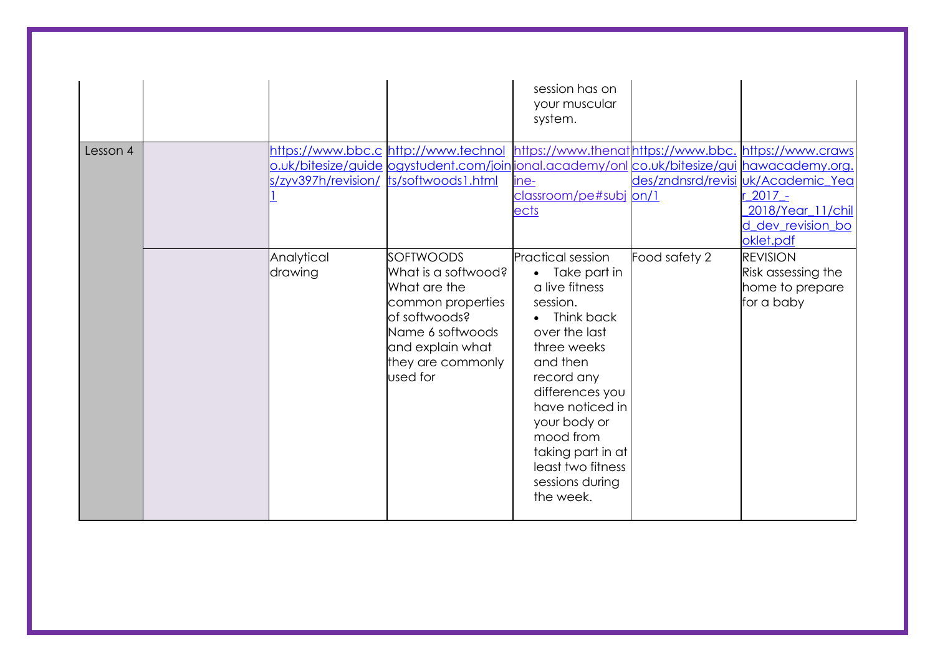|          |                                        |                                                                                                                                                                                                  | session has on<br>your muscular<br>system.                                                                                                                                                                                                                                                      |               |                                                                                                       |
|----------|----------------------------------------|--------------------------------------------------------------------------------------------------------------------------------------------------------------------------------------------------|-------------------------------------------------------------------------------------------------------------------------------------------------------------------------------------------------------------------------------------------------------------------------------------------------|---------------|-------------------------------------------------------------------------------------------------------|
| Lesson 4 | s/zyv397h/revision/ ts/softwoods1.html | https://www.bbc.c http://www.technol https://www.thenathttps://www.bbc. https://www.craws<br><u>o.uk/bitesize/guide ogystudent.com/join ional.academy/onl co.uk/bitesize/gui hawacademy.org.</u> | ine-<br>classroom/pe#subj on/1<br>ects                                                                                                                                                                                                                                                          |               | des/zndnsrd/revisi uk/Academic Yea<br>$2017 -$<br>2018/Year 11/chil<br>d dev revision bo<br>oklet.pdf |
|          | Analytical<br>drawing                  | <b>SOFTWOODS</b><br>What is a softwood?<br>What are the<br>common properties<br>lof softwoods?<br>Name 6 softwoods<br>and explain what<br>they are commonly<br>used for                          | <b>Practical session</b><br>• Take part in<br>a live fitness<br>session.<br>• Think back<br>over the last<br>three weeks<br>and then<br>record any<br>differences you<br>have noticed in<br>your body or<br>mood from<br>taking part in at<br>least two fitness<br>sessions during<br>the week. | Food safety 2 | <b>REVISION</b><br>Risk assessing the<br>home to prepare<br>for a baby                                |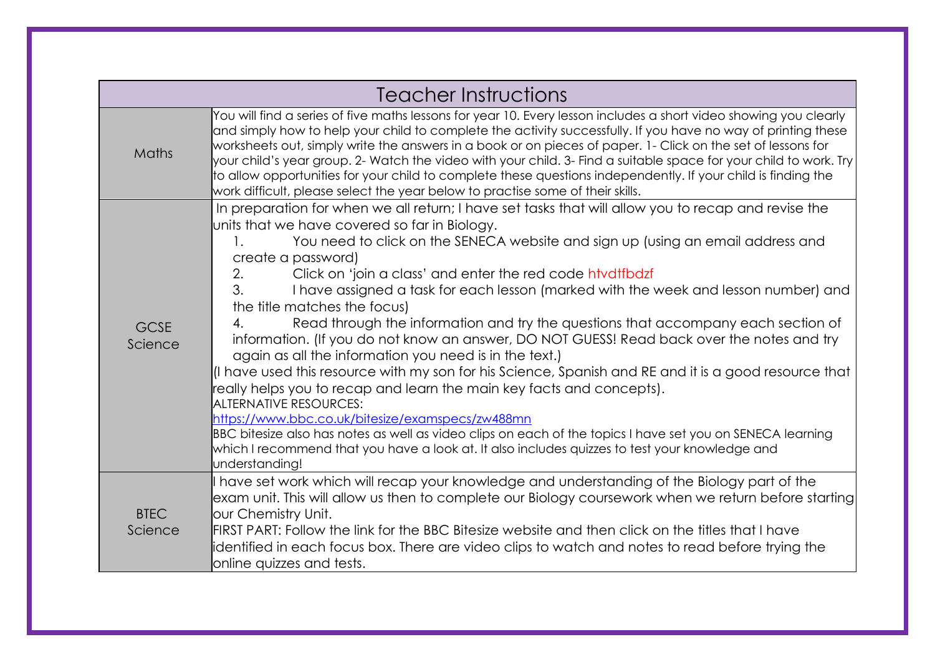|                        | Teacher Instructions                                                                                                                                                                                                                                                                                                                                                                                                                                                                                                                                                                                                                                                                                                                                                                                                                                                                                                                                                                                                                                                                                                                                                                                                                                        |
|------------------------|-------------------------------------------------------------------------------------------------------------------------------------------------------------------------------------------------------------------------------------------------------------------------------------------------------------------------------------------------------------------------------------------------------------------------------------------------------------------------------------------------------------------------------------------------------------------------------------------------------------------------------------------------------------------------------------------------------------------------------------------------------------------------------------------------------------------------------------------------------------------------------------------------------------------------------------------------------------------------------------------------------------------------------------------------------------------------------------------------------------------------------------------------------------------------------------------------------------------------------------------------------------|
| Maths                  | You will find a series of five maths lessons for year 10. Every lesson includes a short video showing you clearly<br>and simply how to help your child to complete the activity successfully. If you have no way of printing these<br>worksheets out, simply write the answers in a book or on pieces of paper. 1- Click on the set of lessons for<br>your child's year group. 2- Watch the video with your child. 3- Find a suitable space for your child to work. Try<br>to allow opportunities for your child to complete these questions independently. If your child is finding the<br>work difficult, please select the year below to practise some of their skills.                                                                                                                                                                                                                                                                                                                                                                                                                                                                                                                                                                                  |
| <b>GCSE</b><br>Science | In preparation for when we all return; I have set tasks that will allow you to recap and revise the<br>units that we have covered so far in Biology.<br>You need to click on the SENECA website and sign up (using an email address and<br>$\mathbf{1}$ .<br>create a password)<br>Click on 'join a class' and enter the red code htvdtfbdzf<br>2.<br>$\mathcal{E}$<br>I have assigned a task for each lesson (marked with the week and lesson number) and<br>the title matches the focus)<br>Read through the information and try the questions that accompany each section of<br>4.<br>information. (If you do not know an answer, DO NOT GUESS! Read back over the notes and try<br>again as all the information you need is in the text.)<br>$\vert$ have used this resource with my son for his Science, Spanish and RE and it is a good resource that<br>really helps you to recap and learn the main key facts and concepts).<br><b>ALTERNATIVE RESOURCES:</b><br>https://www.bbc.co.uk/bitesize/examspecs/zw488mn<br>BBC bitesize also has notes as well as video clips on each of the topics I have set you on SENECA learning<br>which I recommend that you have a look at. It also includes quizzes to test your knowledge and<br>understanding! |
| <b>BTEC</b><br>Science | have set work which will recap your knowledge and understanding of the Biology part of the<br>exam unit. This will allow us then to complete our Biology coursework when we return before starting<br>our Chemistry Unit.<br>FIRST PART: Follow the link for the BBC Bitesize website and then click on the titles that I have<br>identified in each focus box. There are video clips to watch and notes to read before trying the<br>online quizzes and tests.                                                                                                                                                                                                                                                                                                                                                                                                                                                                                                                                                                                                                                                                                                                                                                                             |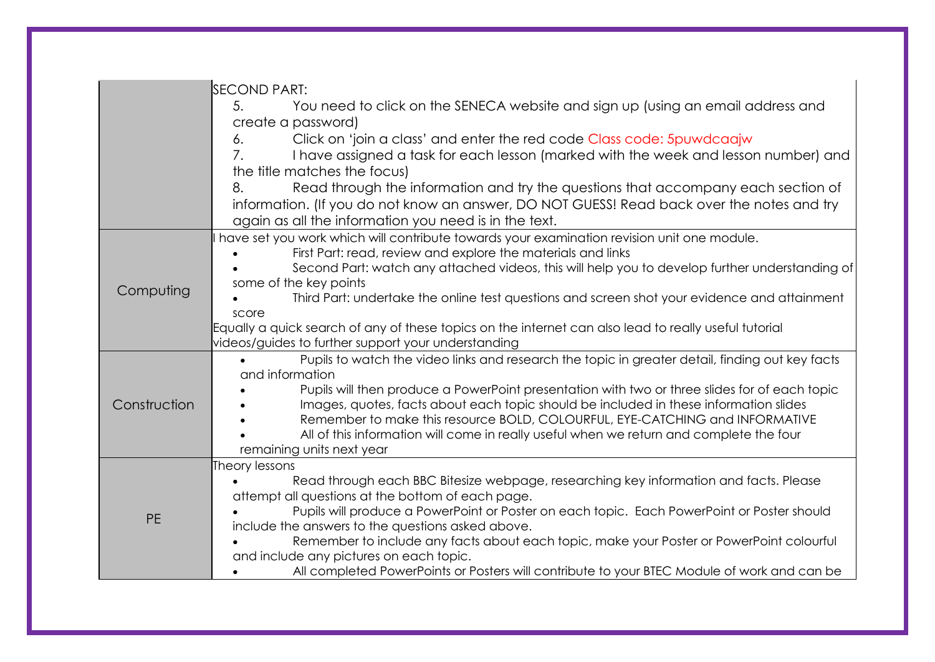|              | <b>SECOND PART:</b><br>You need to click on the SENECA website and sign up (using an email address and<br>5.<br>create a password)<br>Click on 'join a class' and enter the red code Class code: 5 puwd caajw<br>6.<br>7.<br>I have assigned a task for each lesson (marked with the week and lesson number) and<br>the title matches the focus)<br>8.<br>Read through the information and try the questions that accompany each section of<br>information. (If you do not know an answer, DO NOT GUESS! Read back over the notes and try<br>again as all the information you need is in the text. |
|--------------|----------------------------------------------------------------------------------------------------------------------------------------------------------------------------------------------------------------------------------------------------------------------------------------------------------------------------------------------------------------------------------------------------------------------------------------------------------------------------------------------------------------------------------------------------------------------------------------------------|
| Computing    | have set you work which will contribute towards your examination revision unit one module.<br>First Part: read, review and explore the materials and links<br>Second Part: watch any attached videos, this will help you to develop further understanding of<br>some of the key points<br>Third Part: undertake the online test questions and screen shot your evidence and attainment<br>score<br>Equally a quick search of any of these topics on the internet can also lead to really useful tutorial<br>videos/guides to further support your understanding                                    |
| Construction | Pupils to watch the video links and research the topic in greater detail, finding out key facts<br>and information<br>Pupils will then produce a PowerPoint presentation with two or three slides for of each topic<br>Images, quotes, facts about each topic should be included in these information slides<br>Remember to make this resource BOLD, COLOURFUL, EYE-CATCHING and INFORMATIVE<br>All of this information will come in really useful when we return and complete the four<br>remaining units next year                                                                               |
| <b>PE</b>    | Theory lessons<br>Read through each BBC Bitesize webpage, researching key information and facts. Please<br>attempt all questions at the bottom of each page.<br>Pupils will produce a PowerPoint or Poster on each topic. Each PowerPoint or Poster should<br>include the answers to the questions asked above.<br>Remember to include any facts about each topic, make your Poster or PowerPoint colourful<br>and include any pictures on each topic.<br>All completed PowerPoints or Posters will contribute to your BTEC Module of work and can be                                              |